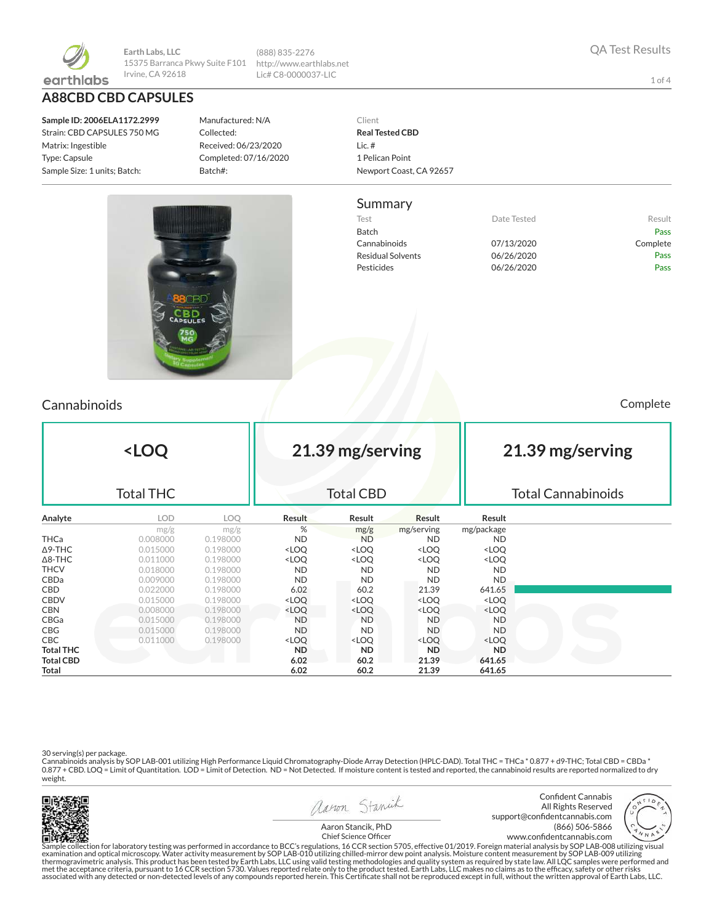

**Earth Labs, LLC** 15375 Barranca Pkwy Suite F101 Irvine, CA 92618

**A88CBD CBD CAPSULES**

**Sample ID: 2006ELA1172.2999** Strain: CBD CAPSULES 750 MG Matrix: Ingestible Type: Capsule Sample Size: 1 units; Batch:

Manufactured: N/A Collected: Received: 06/23/2020 Completed: 07/16/2020 Batch#:

(888) 835-2276 http://www.earthlabs.net Lic# C8-0000037-LIC



#### Summary

Test **Test Result** Date Tested **Result** Batch Pass Cannabinoids 07/13/2020 Complete Residual Solvents 06/26/2020 Pass Pesticides **D6/26/2020** Pass



### Cannabinoids Complete

| <loq<br><b>Total THC</b></loq<br> |            |          |                                                                                                                  | 21.39 mg/serving<br><b>Total CBD</b>                                                 |                                                          |                              | 21.39 mg/serving<br><b>Total Cannabinoids</b> |  |  |
|-----------------------------------|------------|----------|------------------------------------------------------------------------------------------------------------------|--------------------------------------------------------------------------------------|----------------------------------------------------------|------------------------------|-----------------------------------------------|--|--|
|                                   |            |          |                                                                                                                  |                                                                                      |                                                          |                              |                                               |  |  |
| Analyte                           | <b>LOD</b> | LOO.     | <b>Result</b>                                                                                                    | Result                                                                               | Result                                                   | Result                       |                                               |  |  |
|                                   | mg/g       | mg/g     | %                                                                                                                | mg/g                                                                                 | mg/serving                                               | mg/package                   |                                               |  |  |
| <b>THCa</b>                       | 0.008000   | 0.198000 | <b>ND</b>                                                                                                        | <b>ND</b>                                                                            | <b>ND</b>                                                | <b>ND</b>                    |                                               |  |  |
| $\Delta$ 9-THC                    | 0.015000   | 0.198000 | <loq< td=""><td><loq< td=""><td><loq< td=""><td><loq< td=""><td></td></loq<></td></loq<></td></loq<></td></loq<> | <loq< td=""><td><loq< td=""><td><loq< td=""><td></td></loq<></td></loq<></td></loq<> | <loq< td=""><td><loq< td=""><td></td></loq<></td></loq<> | <loq< td=""><td></td></loq<> |                                               |  |  |
| $\Delta$ 8-THC                    | 0.011000   | 0.198000 | <loq< td=""><td><loq< td=""><td><loq< td=""><td><loq< td=""><td></td></loq<></td></loq<></td></loq<></td></loq<> | <loq< td=""><td><loq< td=""><td><loq< td=""><td></td></loq<></td></loq<></td></loq<> | <loq< td=""><td><loq< td=""><td></td></loq<></td></loq<> | <loq< td=""><td></td></loq<> |                                               |  |  |
| <b>THCV</b>                       | 0.018000   | 0.198000 | <b>ND</b>                                                                                                        | <b>ND</b>                                                                            | <b>ND</b>                                                | <b>ND</b>                    |                                               |  |  |
| <b>CBDa</b>                       | 0.009000   | 0.198000 | <b>ND</b>                                                                                                        | <b>ND</b>                                                                            | <b>ND</b>                                                | ND.                          |                                               |  |  |
| <b>CBD</b>                        | 0.022000   | 0.198000 | 6.02                                                                                                             | 60.2                                                                                 | 21.39                                                    | 641.65                       |                                               |  |  |
| <b>CBDV</b>                       | 0.015000   | 0.198000 | <loq< td=""><td><loq< td=""><td><loq< td=""><td><loq< td=""><td></td></loq<></td></loq<></td></loq<></td></loq<> | <loq< td=""><td><loq< td=""><td><loq< td=""><td></td></loq<></td></loq<></td></loq<> | <loq< td=""><td><loq< td=""><td></td></loq<></td></loq<> | <loq< td=""><td></td></loq<> |                                               |  |  |
| <b>CBN</b>                        | 0.008000   | 0.198000 | <loq< td=""><td><loq< td=""><td><loq< td=""><td><loq< td=""><td></td></loq<></td></loq<></td></loq<></td></loq<> | <loq< td=""><td><loq< td=""><td><loq< td=""><td></td></loq<></td></loq<></td></loq<> | <loq< td=""><td><loq< td=""><td></td></loq<></td></loq<> | <loq< td=""><td></td></loq<> |                                               |  |  |
| CBGa                              | 0.015000   | 0.198000 | ND.                                                                                                              | <b>ND</b>                                                                            | <b>ND</b>                                                | <b>ND</b>                    |                                               |  |  |
| CBG                               | 0.015000   | 0.198000 | <b>ND</b>                                                                                                        | <b>ND</b>                                                                            | <b>ND</b>                                                | ND.                          |                                               |  |  |
| <b>CBC</b>                        | 0.011000   | 0.198000 | <loq< td=""><td><loq< td=""><td><loq< td=""><td><loq< td=""><td></td></loq<></td></loq<></td></loq<></td></loq<> | <loq< td=""><td><loq< td=""><td><loq< td=""><td></td></loq<></td></loq<></td></loq<> | <loq< td=""><td><loq< td=""><td></td></loq<></td></loq<> | <loq< td=""><td></td></loq<> |                                               |  |  |
| <b>Total THC</b>                  |            |          | ND.                                                                                                              | ND.                                                                                  | ND.                                                      | <b>ND</b>                    |                                               |  |  |
| <b>Total CBD</b>                  |            |          | 6.02                                                                                                             | 60.2                                                                                 | 21.39                                                    | 641.65                       |                                               |  |  |
| Total                             |            |          | 6.02                                                                                                             | 60.2                                                                                 | 21.39                                                    | 641.65                       |                                               |  |  |

30 serving(s) per package.<br>Cannabinoids analysis by SOP LAB-001 utilizing High Performance Liquid Chromatography-Diode Array Detection (HPLC-DAD). Total THC = THCa \* 0.877 + d9-THC; Total CBD = CBDa \*<br>0.877 + CBD. LOQ = Li weight.







Aaron Stancik, PhD Chief Science Officer

Sample collection for laboratory testing was performed in accordance to BCC's regulations, 16 CCR section 5705, effective 01/2019. Foreign material analysis by SOP LAB-008 utilizing visual<br>examination and optical microscop associated with any detected or non-detected levels of any compounds reported herein. This Certificate shall not be reproduced except in full, without the written approval of Earth Labs, LLC.

1 of 4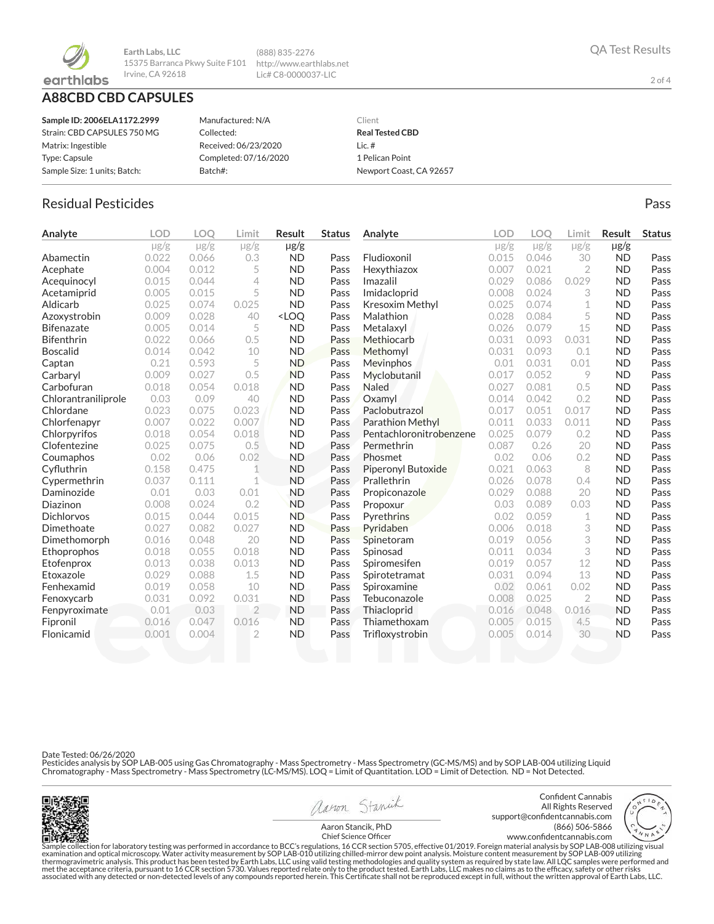

**Earth Labs, LLC** 15375 Barranca Pkwy Suite F101 http://www.earthlabs.net Irvine, CA 92618

## **A88CBD CBD CAPSULES**

| Sample ID: 2006ELA1172.2999  | Manufactured: N/A     | Client                  |
|------------------------------|-----------------------|-------------------------|
| Strain: CBD CAPSULES 750 MG  | Collected:            | <b>Real Tested CBD</b>  |
| Matrix: Ingestible           | Received: 06/23/2020  | Lic. $#$                |
| Type: Capsule                | Completed: 07/16/2020 | 1 Pelican Point         |
| Sample Size: 1 units; Batch: | Batch#:               | Newport Coast, CA 92657 |

(888) 835-2276 Lic# C8-0000037-LIC

## Residual Pesticides **Passachuset International Control** Control of the Pass Pass

| Analyte             | <b>LOD</b> | <b>LOO</b> | Limit          | <b>Result</b>                                                                                                           | <b>Status</b> | Analyte                 | LOD       | <b>LOO</b> | Limit          | <b>Result</b> | <b>Status</b> |
|---------------------|------------|------------|----------------|-------------------------------------------------------------------------------------------------------------------------|---------------|-------------------------|-----------|------------|----------------|---------------|---------------|
|                     | $\mu$ g/g  | $\mu$ g/g  | $\mu$ g/g      | $\mu$ g/g                                                                                                               |               |                         | $\mu$ g/g | $\mu$ g/g  | $\mu$ g/g      | $\mu$ g/g     |               |
| Abamectin           | 0.022      | 0.066      | 0.3            | <b>ND</b>                                                                                                               | Pass          | Fludioxonil             | 0.015     | 0.046      | 30             | <b>ND</b>     | Pass          |
| Acephate            | 0.004      | 0.012      | 5              | <b>ND</b>                                                                                                               | Pass          | Hexythiazox             | 0.007     | 0.021      | $\overline{2}$ | <b>ND</b>     | Pass          |
| Acequinocyl         | 0.015      | 0.044      | $\overline{4}$ | <b>ND</b>                                                                                                               | Pass          | Imazalil                | 0.029     | 0.086      | 0.029          | <b>ND</b>     | Pass          |
| Acetamiprid         | 0.005      | 0.015      | 5              | <b>ND</b>                                                                                                               | Pass          | Imidacloprid            | 0.008     | 0.024      | 3              | <b>ND</b>     | Pass          |
| Aldicarb            | 0.025      | 0.074      | 0.025          | <b>ND</b>                                                                                                               | Pass          | Kresoxim Methyl         | 0.025     | 0.074      | 1              | <b>ND</b>     | Pass          |
| Azoxystrobin        | 0.009      | 0.028      | 40             | <loo< th=""><th>Pass</th><th>Malathion</th><th>0.028</th><th>0.084</th><th>5</th><th><b>ND</b></th><th>Pass</th></loo<> | Pass          | Malathion               | 0.028     | 0.084      | 5              | <b>ND</b>     | Pass          |
| <b>Bifenazate</b>   | 0.005      | 0.014      | 5              | <b>ND</b>                                                                                                               | Pass          | Metalaxyl               | 0.026     | 0.079      | 15             | <b>ND</b>     | Pass          |
| <b>Bifenthrin</b>   | 0.022      | 0.066      | 0.5            | <b>ND</b>                                                                                                               | Pass          | Methiocarb              | 0.031     | 0.093      | 0.031          | <b>ND</b>     | Pass          |
| <b>Boscalid</b>     | 0.014      | 0.042      | 10             | <b>ND</b>                                                                                                               | Pass          | Methomyl                | 0.031     | 0.093      | 0.1            | <b>ND</b>     | Pass          |
| Captan              | 0.21       | 0.593      | 5              | <b>ND</b>                                                                                                               | Pass          | Mevinphos               | 0.01      | 0.031      | 0.01           | <b>ND</b>     | Pass          |
| Carbaryl            | 0.009      | 0.027      | 0.5            | <b>ND</b>                                                                                                               | Pass          | Myclobutanil            | 0.017     | 0.052      | 9              | <b>ND</b>     | Pass          |
| Carbofuran          | 0.018      | 0.054      | 0.018          | <b>ND</b>                                                                                                               | Pass          | <b>Naled</b>            | 0.027     | 0.081      | 0.5            | <b>ND</b>     | Pass          |
| Chlorantraniliprole | 0.03       | 0.09       | 40             | <b>ND</b>                                                                                                               | Pass          | Oxamyl                  | 0.014     | 0.042      | 0.2            | <b>ND</b>     | Pass          |
| Chlordane           | 0.023      | 0.075      | 0.023          | <b>ND</b>                                                                                                               | Pass          | Paclobutrazol           | 0.017     | 0.051      | 0.017          | <b>ND</b>     | Pass          |
| Chlorfenapyr        | 0.007      | 0.022      | 0.007          | <b>ND</b>                                                                                                               | Pass          | <b>Parathion Methyl</b> | 0.011     | 0.033      | 0.011          | <b>ND</b>     | Pass          |
| Chlorpyrifos        | 0.018      | 0.054      | 0.018          | <b>ND</b>                                                                                                               | Pass          | Pentachloronitrobenzene | 0.025     | 0.079      | 0.2            | <b>ND</b>     | Pass          |
| Clofentezine        | 0.025      | 0.075      | 0.5            | <b>ND</b>                                                                                                               | Pass          | Permethrin              | 0.087     | 0.26       | 20             | <b>ND</b>     | Pass          |
| Coumaphos           | 0.02       | 0.06       | 0.02           | <b>ND</b>                                                                                                               | Pass          | Phosmet                 | 0.02      | 0.06       | 0.2            | <b>ND</b>     | Pass          |
| Cyfluthrin          | 0.158      | 0.475      | 1              | <b>ND</b>                                                                                                               | Pass          | Piperonyl Butoxide      | 0.021     | 0.063      | 8              | <b>ND</b>     | Pass          |
| Cypermethrin        | 0.037      | 0.111      | 1              | <b>ND</b>                                                                                                               | Pass          | Prallethrin             | 0.026     | 0.078      | 0.4            | <b>ND</b>     | Pass          |
| Daminozide          | 0.01       | 0.03       | 0.01           | <b>ND</b>                                                                                                               | Pass          | Propiconazole           | 0.029     | 0.088      | 20             | <b>ND</b>     | Pass          |
| Diazinon            | 0.008      | 0.024      | 0.2            | <b>ND</b>                                                                                                               | Pass          | Propoxur                | 0.03      | 0.089      | 0.03           | <b>ND</b>     | Pass          |
| <b>Dichlorvos</b>   | 0.015      | 0.044      | 0.015          | <b>ND</b>                                                                                                               | Pass          | Pyrethrins              | 0.02      | 0.059      | 1              | <b>ND</b>     | Pass          |
| Dimethoate          | 0.027      | 0.082      | 0.027          | <b>ND</b>                                                                                                               | Pass          | Pyridaben               | 0.006     | 0.018      | 3              | <b>ND</b>     | Pass          |
| Dimethomorph        | 0.016      | 0.048      | 20             | <b>ND</b>                                                                                                               | Pass          | Spinetoram              | 0.019     | 0.056      | 3              | <b>ND</b>     | Pass          |
| Ethoprophos         | 0.018      | 0.055      | 0.018          | <b>ND</b>                                                                                                               | Pass          | Spinosad                | 0.011     | 0.034      | 3              | <b>ND</b>     | Pass          |
| Etofenprox          | 0.013      | 0.038      | 0.013          | <b>ND</b>                                                                                                               | Pass          | Spiromesifen            | 0.019     | 0.057      | 12             | <b>ND</b>     | Pass          |
| Etoxazole           | 0.029      | 0.088      | 1.5            | <b>ND</b>                                                                                                               | Pass          | Spirotetramat           | 0.031     | 0.094      | 13             | <b>ND</b>     | Pass          |
| Fenhexamid          | 0.019      | 0.058      | 10             | <b>ND</b>                                                                                                               | Pass          | Spiroxamine             | 0.02      | 0.061      | 0.02           | <b>ND</b>     | Pass          |
| Fenoxycarb          | 0.031      | 0.092      | 0.031          | <b>ND</b>                                                                                                               | Pass          | Tebuconazole            | 0.008     | 0.025      | $\overline{2}$ | <b>ND</b>     | Pass          |
| Fenpyroximate       | 0.01       | 0.03       | $\overline{2}$ | <b>ND</b>                                                                                                               | Pass          | Thiacloprid             | 0.016     | 0.048      | 0.016          | <b>ND</b>     | Pass          |
| Fipronil            | 0.016      | 0.047      | 0.016          | <b>ND</b>                                                                                                               | Pass          | Thiamethoxam            | 0.005     | 0.015      | 4.5            | <b>ND</b>     | Pass          |
| Flonicamid          | 0.001      | 0.004      | $\overline{2}$ | <b>ND</b>                                                                                                               | Pass          | Trifloxystrobin         | 0.005     | 0.014      | 30             | <b>ND</b>     | Pass          |
|                     |            |            |                |                                                                                                                         |               |                         |           |            |                |               |               |

Date Tested: 06/26/2020

Pesticides analysis by SOP LAB-005 using Gas Chromatography - Mass Spectrometry - Mass Spectrometry (GC-MS/MS) and by SOP LAB-004 utilizing Liquid<br>Chromatography - Mass Spectrometry - Mass Spectrometry (LC-MS/MS). LOQ = Li



aaron Stanick

Confident Cannabis All Rights Reserved support@confidentcannabis.com (866) 506-5866 www.confidentcannabis.com



Aaron Stancik, PhD Chief Science Officer

Sample collection for laboratory testing was performed in accordance to BCC's regulations, 16 CCR section 5705, effective 01/2019. Foreign material analysis by SOP LAB-008 utilizing visual examination and optical microscop

2 of 4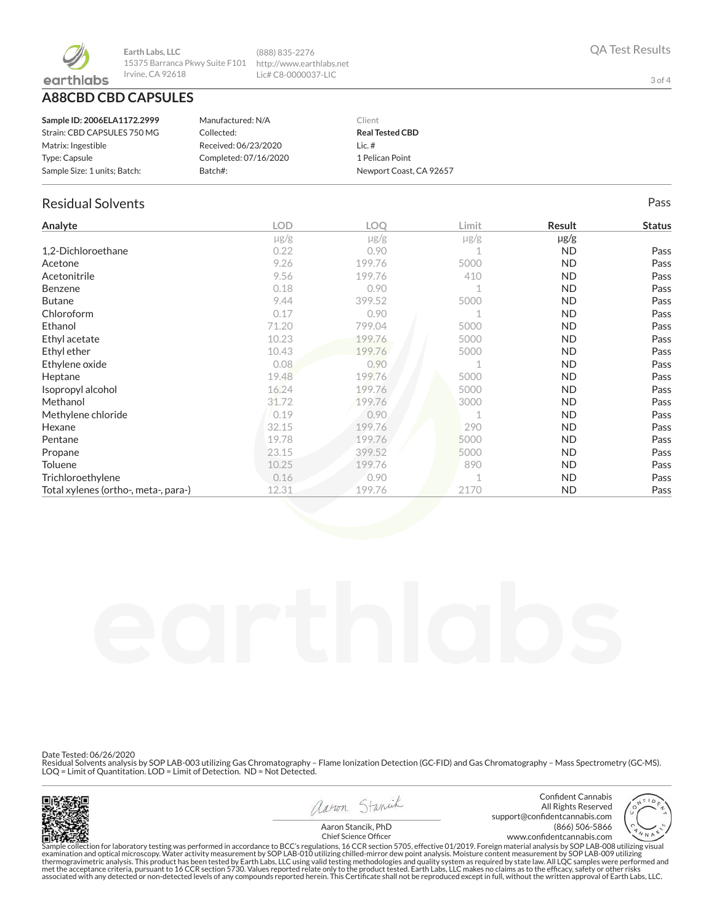

**A88CBD CBD CAPSULES**

| Sample ID: 2006ELA1172.2999  | Manufactured: N/A     | Client                  |
|------------------------------|-----------------------|-------------------------|
| Strain: CBD CAPSULES 750 MG  | Collected:            | <b>Real Tested CBD</b>  |
| Matrix: Ingestible           | Received: 06/23/2020  | Lic. $#$                |
| Type: Capsule                | Completed: 07/16/2020 | 1 Pelican Point         |
| Sample Size: 1 units: Batch: | Batch#:               | Newport Coast, CA 92657 |
|                              |                       |                         |

(888) 835-2276 http://www.earthlabs.net Lic# C8-0000037-LIC

## Residual Solvents Pass

| Analyte                              | <b>LOD</b> | <b>LOO</b> | Limit     | Result    | <b>Status</b> |
|--------------------------------------|------------|------------|-----------|-----------|---------------|
|                                      | $\mu$ g/g  | $\mu$ g/g  | $\mu$ g/g | $\mu$ g/g |               |
| 1,2-Dichloroethane                   | 0.22       | 0.90       |           | <b>ND</b> | Pass          |
| Acetone                              | 9.26       | 199.76     | 5000      | <b>ND</b> | Pass          |
| Acetonitrile                         | 9.56       | 199.76     | 410       | <b>ND</b> | Pass          |
| <b>Benzene</b>                       | 0.18       | 0.90       |           | <b>ND</b> | Pass          |
| <b>Butane</b>                        | 9.44       | 399.52     | 5000      | <b>ND</b> | Pass          |
| Chloroform                           | 0.17       | 0.90       |           | <b>ND</b> | Pass          |
| Ethanol                              | 71.20      | 799.04     | 5000      | <b>ND</b> | Pass          |
| Ethyl acetate                        | 10.23      | 199.76     | 5000      | <b>ND</b> | Pass          |
| Ethyl ether                          | 10.43      | 199.76     | 5000      | <b>ND</b> | Pass          |
| Ethylene oxide                       | 0.08       | 0.90       |           | <b>ND</b> | Pass          |
| Heptane                              | 19.48      | 199.76     | 5000      | <b>ND</b> | Pass          |
| Isopropyl alcohol                    | 16.24      | 199.76     | 5000      | <b>ND</b> | Pass          |
| Methanol                             | 31.72      | 199.76     | 3000      | ND.       | Pass          |
| Methylene chloride                   | 0.19       | 0.90       |           | <b>ND</b> | Pass          |
| Hexane                               | 32.15      | 199.76     | 290       | <b>ND</b> | Pass          |
| Pentane                              | 19.78      | 199.76     | 5000      | <b>ND</b> | Pass          |
| Propane                              | 23.15      | 399.52     | 5000      | <b>ND</b> | Pass          |
| Toluene                              | 10.25      | 199.76     | 890       | <b>ND</b> | Pass          |
| Trichloroethylene                    | 0.16       | 0.90       |           | <b>ND</b> | Pass          |
| Total xylenes (ortho-, meta-, para-) | 12.31      | 199.76     | 2170      | <b>ND</b> | Pass          |

Date Tested: 06/26/2020

Residual Solvents analysis by SOP LAB-003 utilizing Gas Chromatography – Flame Ionization Detection (GC-FID) and Gas Chromatography – Mass Spectrometry (GC-MS).<br>LOQ = Limit of Quantitation. LOD = Limit of Detection. ND = N



avon Stanick Aaron Stancik, PhD





Chief Science Officer

Sample collection for laboratory testing was performed in accordance to BCC's regulations, 16 CCR section 5705, effective 01/2019. Foreign material analysis by SOP LAB-008 utilizing visual<br>examination and optical microscop associated with any detected or non-detected levels of any compounds reported herein. This Certificate shall not be reproduced except in full, without the written approval of Earth Labs, LLC.

3 of 4